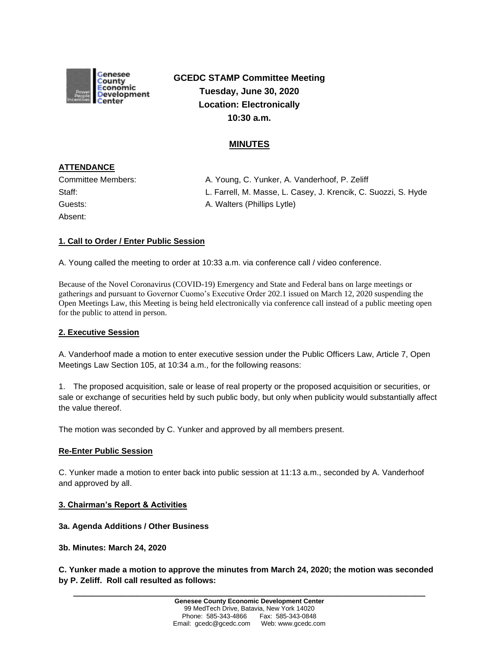

**GCEDC STAMP Committee Meeting Tuesday, June 30, 2020 Location: Electronically 10:30 a.m.**

## **MINUTES**

# **ATTENDANCE**

| Committee Members: |  |
|--------------------|--|
| Staff:             |  |
| Guests:            |  |
| Absent:            |  |

A. Young, C. Yunker, A. Vanderhoof, P. Zeliff L. Farrell, M. Masse, L. Casey, J. Krencik, C. Suozzi, S. Hyde A. Walters (Phillips Lytle)

### **1. Call to Order / Enter Public Session**

A. Young called the meeting to order at 10:33 a.m. via conference call / video conference.

Because of the Novel Coronavirus (COVID-19) Emergency and State and Federal bans on large meetings or gatherings and pursuant to Governor Cuomo's Executive Order 202.1 issued on March 12, 2020 suspending the Open Meetings Law, this Meeting is being held electronically via conference call instead of a public meeting open for the public to attend in person.

### **2. Executive Session**

A. Vanderhoof made a motion to enter executive session under the Public Officers Law, Article 7, Open Meetings Law Section 105, at 10:34 a.m., for the following reasons:

1. The proposed acquisition, sale or lease of real property or the proposed acquisition or securities, or sale or exchange of securities held by such public body, but only when publicity would substantially affect the value thereof.

The motion was seconded by C. Yunker and approved by all members present.

### **Re-Enter Public Session**

C. Yunker made a motion to enter back into public session at 11:13 a.m., seconded by A. Vanderhoof and approved by all.

#### **3. Chairman's Report & Activities**

### **3a. Agenda Additions / Other Business**

**3b. Minutes: March 24, 2020**

**C. Yunker made a motion to approve the minutes from March 24, 2020; the motion was seconded by P. Zeliff. Roll call resulted as follows:**

**\_\_\_\_\_\_\_\_\_\_\_\_\_\_\_\_\_\_\_\_\_\_\_\_\_\_\_\_\_\_\_\_\_\_\_\_\_\_\_\_\_\_\_\_\_\_\_\_\_\_\_\_\_\_\_\_\_\_\_\_\_\_\_\_\_\_\_\_\_\_\_\_**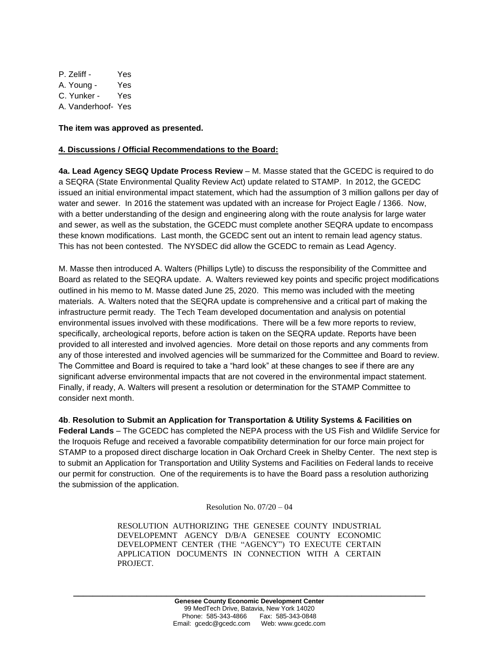P. Zeliff - Yes A. Young - Yes C. Yunker - Yes A. Vanderhoof- Yes

**The item was approved as presented.**

#### **4. Discussions / Official Recommendations to the Board:**

**4a. Lead Agency SEGQ Update Process Review** – M. Masse stated that the GCEDC is required to do a SEQRA (State Environmental Quality Review Act) update related to STAMP. In 2012, the GCEDC issued an initial environmental impact statement, which had the assumption of 3 million gallons per day of water and sewer. In 2016 the statement was updated with an increase for Project Eagle / 1366. Now, with a better understanding of the design and engineering along with the route analysis for large water and sewer, as well as the substation, the GCEDC must complete another SEQRA update to encompass these known modifications. Last month, the GCEDC sent out an intent to remain lead agency status. This has not been contested. The NYSDEC did allow the GCEDC to remain as Lead Agency.

M. Masse then introduced A. Walters (Phillips Lytle) to discuss the responsibility of the Committee and Board as related to the SEQRA update. A. Walters reviewed key points and specific project modifications outlined in his memo to M. Masse dated June 25, 2020. This memo was included with the meeting materials. A. Walters noted that the SEQRA update is comprehensive and a critical part of making the infrastructure permit ready. The Tech Team developed documentation and analysis on potential environmental issues involved with these modifications. There will be a few more reports to review, specifically, archeological reports, before action is taken on the SEQRA update. Reports have been provided to all interested and involved agencies. More detail on those reports and any comments from any of those interested and involved agencies will be summarized for the Committee and Board to review. The Committee and Board is required to take a "hard look" at these changes to see if there are any significant adverse environmental impacts that are not covered in the environmental impact statement. Finally, if ready, A. Walters will present a resolution or determination for the STAMP Committee to consider next month.

**4b**. **Resolution to Submit an Application for Transportation & Utility Systems & Facilities on Federal Lands** – The GCEDC has completed the NEPA process with the US Fish and Wildlife Service for the Iroquois Refuge and received a favorable compatibility determination for our force main project for STAMP to a proposed direct discharge location in Oak Orchard Creek in Shelby Center. The next step is to submit an Application for Transportation and Utility Systems and Facilities on Federal lands to receive our permit for construction. One of the requirements is to have the Board pass a resolution authorizing the submission of the application.

Resolution No.  $07/20 - 04$ 

RESOLUTION AUTHORIZING THE GENESEE COUNTY INDUSTRIAL DEVELOPEMNT AGENCY D/B/A GENESEE COUNTY ECONOMIC DEVELOPMENT CENTER (THE "AGENCY") TO EXECUTE CERTAIN APPLICATION DOCUMENTS IN CONNECTION WITH A CERTAIN PROJECT.